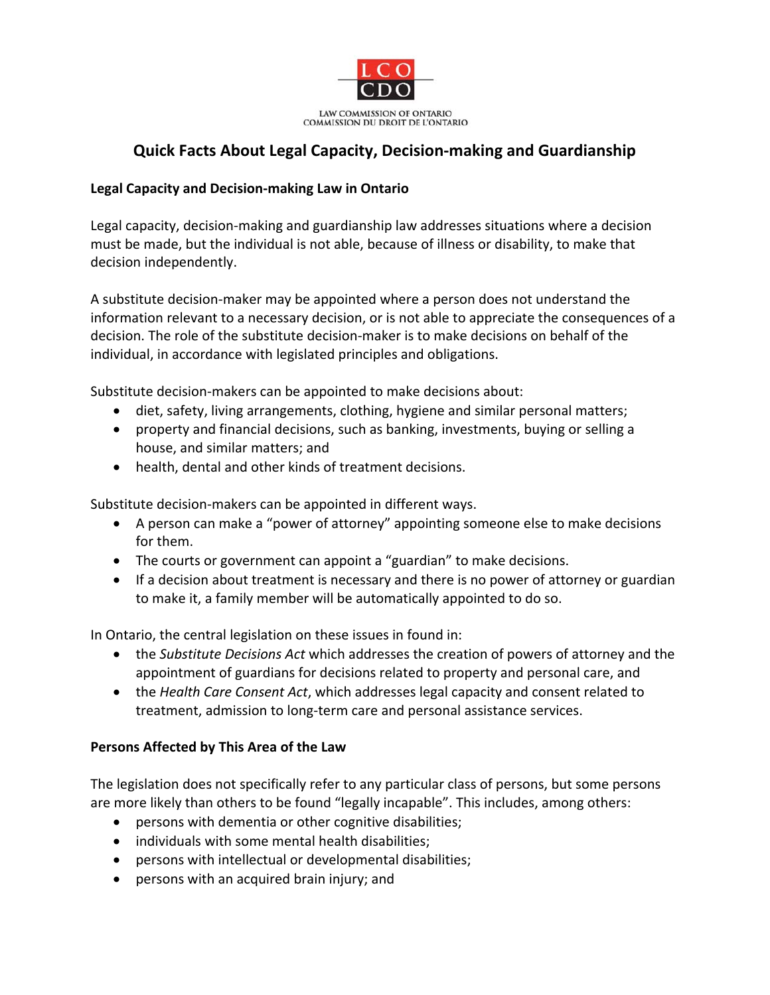

## **Quick Facts About Legal Capacity, Decision‐making and Guardianship**

## **Legal Capacity and Decision‐making Law in Ontario**

Legal capacity, decision‐making and guardianship law addresses situations where a decision must be made, but the individual is not able, because of illness or disability, to make that decision independently.

A substitute decision‐maker may be appointed where a person does not understand the information relevant to a necessary decision, or is not able to appreciate the consequences of a decision. The role of the substitute decision‐maker is to make decisions on behalf of the individual, in accordance with legislated principles and obligations.

Substitute decision‐makers can be appointed to make decisions about:

- diet, safety, living arrangements, clothing, hygiene and similar personal matters;
- property and financial decisions, such as banking, investments, buying or selling a house, and similar matters; and
- health, dental and other kinds of treatment decisions.

Substitute decision‐makers can be appointed in different ways.

- A person can make a "power of attorney" appointing someone else to make decisions for them.
- The courts or government can appoint a "guardian" to make decisions.
- If a decision about treatment is necessary and there is no power of attorney or guardian to make it, a family member will be automatically appointed to do so.

In Ontario, the central legislation on these issues in found in:

- the *Substitute Decisions Act* which addresses the creation of powers of attorney and the appointment of guardians for decisions related to property and personal care, and
- the *Health Care Consent Act*, which addresses legal capacity and consent related to treatment, admission to long‐term care and personal assistance services.

## **Persons Affected by This Area of the Law**

The legislation does not specifically refer to any particular class of persons, but some persons are more likely than others to be found "legally incapable". This includes, among others:

- persons with dementia or other cognitive disabilities;
- individuals with some mental health disabilities;
- persons with intellectual or developmental disabilities;
- persons with an acquired brain injury; and